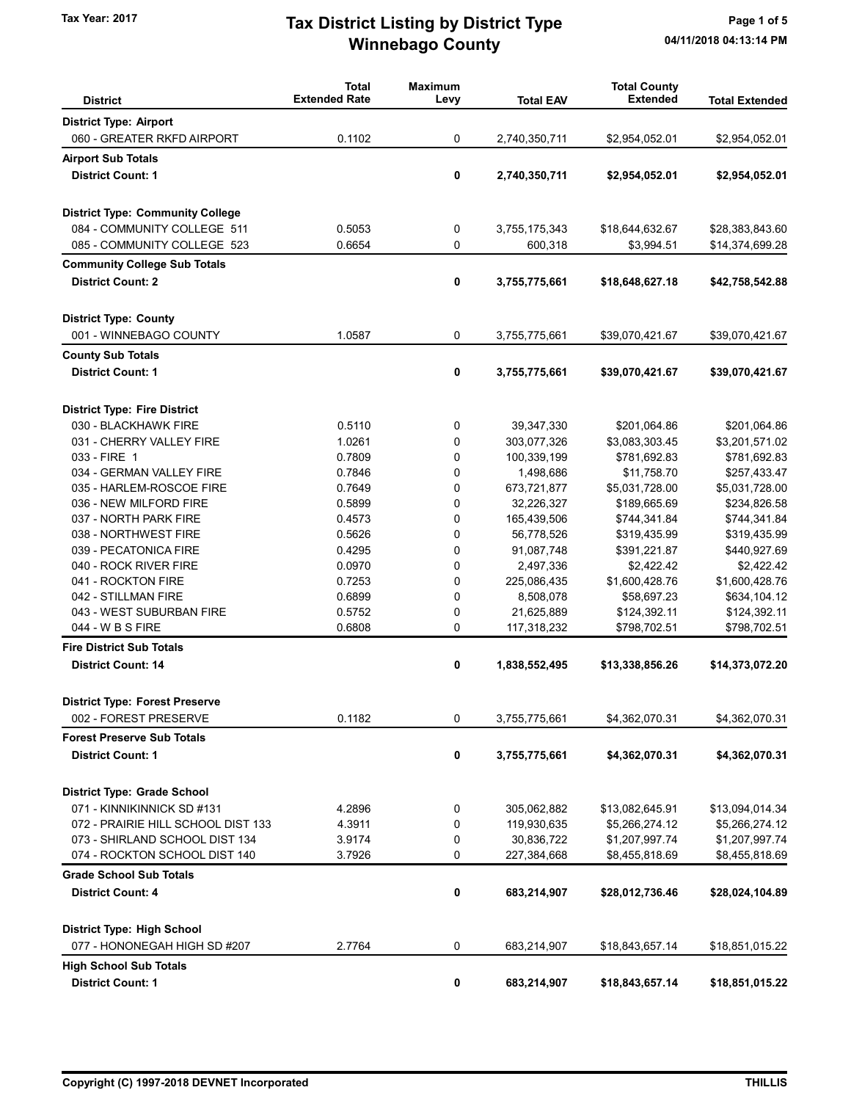# Winnebago County Tax Year: 2017 **Tax District Listing by District Type** Page 1 of 5

| <b>District</b>                         | <b>Total</b><br><b>Extended Rate</b> | <b>Maximum</b><br>Levy | <b>Total EAV</b> | <b>Total County</b><br><b>Extended</b> | <b>Total Extended</b> |
|-----------------------------------------|--------------------------------------|------------------------|------------------|----------------------------------------|-----------------------|
| <b>District Type: Airport</b>           |                                      |                        |                  |                                        |                       |
| 060 - GREATER RKFD AIRPORT              | 0.1102                               | 0                      | 2,740,350,711    | \$2,954,052.01                         | \$2,954,052.01        |
| <b>Airport Sub Totals</b>               |                                      |                        |                  |                                        |                       |
| <b>District Count: 1</b>                |                                      | 0                      | 2,740,350,711    | \$2,954,052.01                         | \$2,954,052.01        |
|                                         |                                      |                        |                  |                                        |                       |
| <b>District Type: Community College</b> |                                      |                        |                  |                                        |                       |
| 084 - COMMUNITY COLLEGE 511             | 0.5053                               | 0                      | 3,755,175,343    | \$18,644,632.67                        | \$28,383,843.60       |
| 085 - COMMUNITY COLLEGE 523             | 0.6654                               | 0                      | 600,318          | \$3,994.51                             | \$14,374,699.28       |
| <b>Community College Sub Totals</b>     |                                      |                        |                  |                                        |                       |
| <b>District Count: 2</b>                |                                      | 0                      | 3,755,775,661    | \$18,648,627.18                        | \$42,758,542.88       |
|                                         |                                      |                        |                  |                                        |                       |
| <b>District Type: County</b>            |                                      |                        |                  |                                        |                       |
| 001 - WINNEBAGO COUNTY                  | 1.0587                               | 0                      | 3,755,775,661    | \$39,070,421.67                        | \$39,070,421.67       |
| <b>County Sub Totals</b>                |                                      |                        |                  |                                        |                       |
| <b>District Count: 1</b>                |                                      | 0                      | 3,755,775,661    | \$39,070,421.67                        | \$39,070,421.67       |
|                                         |                                      |                        |                  |                                        |                       |
| <b>District Type: Fire District</b>     |                                      |                        |                  |                                        |                       |
| 030 - BLACKHAWK FIRE                    | 0.5110                               | 0                      | 39,347,330       | \$201,064.86                           | \$201,064.86          |
| 031 - CHERRY VALLEY FIRE                | 1.0261                               | 0                      | 303,077,326      | \$3,083,303.45                         | \$3,201,571.02        |
| 033 - FIRE 1                            | 0.7809                               | 0                      | 100,339,199      | \$781,692.83                           | \$781,692.83          |
| 034 - GERMAN VALLEY FIRE                | 0.7846                               | 0                      | 1,498,686        | \$11,758.70                            | \$257,433.47          |
| 035 - HARLEM-ROSCOE FIRE                | 0.7649                               | $\mathbf 0$            | 673,721,877      | \$5,031,728.00                         | \$5,031,728.00        |
| 036 - NEW MILFORD FIRE                  | 0.5899                               | $\mathbf 0$            | 32,226,327       | \$189,665.69                           | \$234,826.58          |
| 037 - NORTH PARK FIRE                   | 0.4573                               | 0                      | 165,439,506      | \$744,341.84                           | \$744,341.84          |
| 038 - NORTHWEST FIRE                    | 0.5626                               | 0                      | 56,778,526       | \$319,435.99                           | \$319,435.99          |
| 039 - PECATONICA FIRE                   | 0.4295                               | 0                      | 91,087,748       | \$391,221.87                           | \$440,927.69          |
| 040 - ROCK RIVER FIRE                   | 0.0970                               | 0                      | 2,497,336        | \$2,422.42                             | \$2,422.42            |
| 041 - ROCKTON FIRE                      | 0.7253                               | 0                      | 225,086,435      | \$1,600,428.76                         | \$1,600,428.76        |
| 042 - STILLMAN FIRE                     | 0.6899                               | 0                      | 8,508,078        | \$58,697.23                            | \$634,104.12          |
| 043 - WEST SUBURBAN FIRE                | 0.5752                               | 0                      | 21,625,889       | \$124,392.11                           | \$124,392.11          |
| 044 - W B S FIRE                        | 0.6808                               | 0                      | 117,318,232      | \$798,702.51                           | \$798,702.51          |
| <b>Fire District Sub Totals</b>         |                                      |                        |                  |                                        |                       |
| <b>District Count: 14</b>               |                                      | 0                      | 1,838,552,495    | \$13,338,856.26                        | \$14,373,072.20       |
|                                         |                                      |                        |                  |                                        |                       |
| <b>District Type: Forest Preserve</b>   | 0.1182                               |                        |                  |                                        |                       |
| 002 - FOREST PRESERVE                   |                                      | 0                      | 3,755,775,661    | \$4,362,070.31                         | \$4,362,070.31        |
| <b>Forest Preserve Sub Totals</b>       |                                      |                        |                  |                                        |                       |
| <b>District Count: 1</b>                |                                      | 0                      | 3,755,775,661    | \$4,362,070.31                         | \$4,362,070.31        |
| <b>District Type: Grade School</b>      |                                      |                        |                  |                                        |                       |
| 071 - KINNIKINNICK SD #131              | 4.2896                               | 0                      | 305,062,882      | \$13,082,645.91                        | \$13,094,014.34       |
| 072 - PRAIRIE HILL SCHOOL DIST 133      | 4.3911                               | 0                      | 119,930,635      | \$5,266,274.12                         | \$5,266,274.12        |
| 073 - SHIRLAND SCHOOL DIST 134          | 3.9174                               | 0                      | 30,836,722       | \$1,207,997.74                         | \$1,207,997.74        |
| 074 - ROCKTON SCHOOL DIST 140           | 3.7926                               | 0                      | 227,384,668      | \$8,455,818.69                         | \$8,455,818.69        |
| <b>Grade School Sub Totals</b>          |                                      |                        |                  |                                        |                       |
| <b>District Count: 4</b>                |                                      | 0                      | 683,214,907      | \$28,012,736.46                        | \$28,024,104.89       |
|                                         |                                      |                        |                  |                                        |                       |
| <b>District Type: High School</b>       |                                      |                        |                  |                                        |                       |
| 077 - HONONEGAH HIGH SD #207            | 2.7764                               | 0                      | 683,214,907      | \$18,843,657.14                        | \$18,851,015.22       |
| <b>High School Sub Totals</b>           |                                      |                        |                  |                                        |                       |
| <b>District Count: 1</b>                |                                      | 0                      | 683,214,907      | \$18,843,657.14                        | \$18,851,015.22       |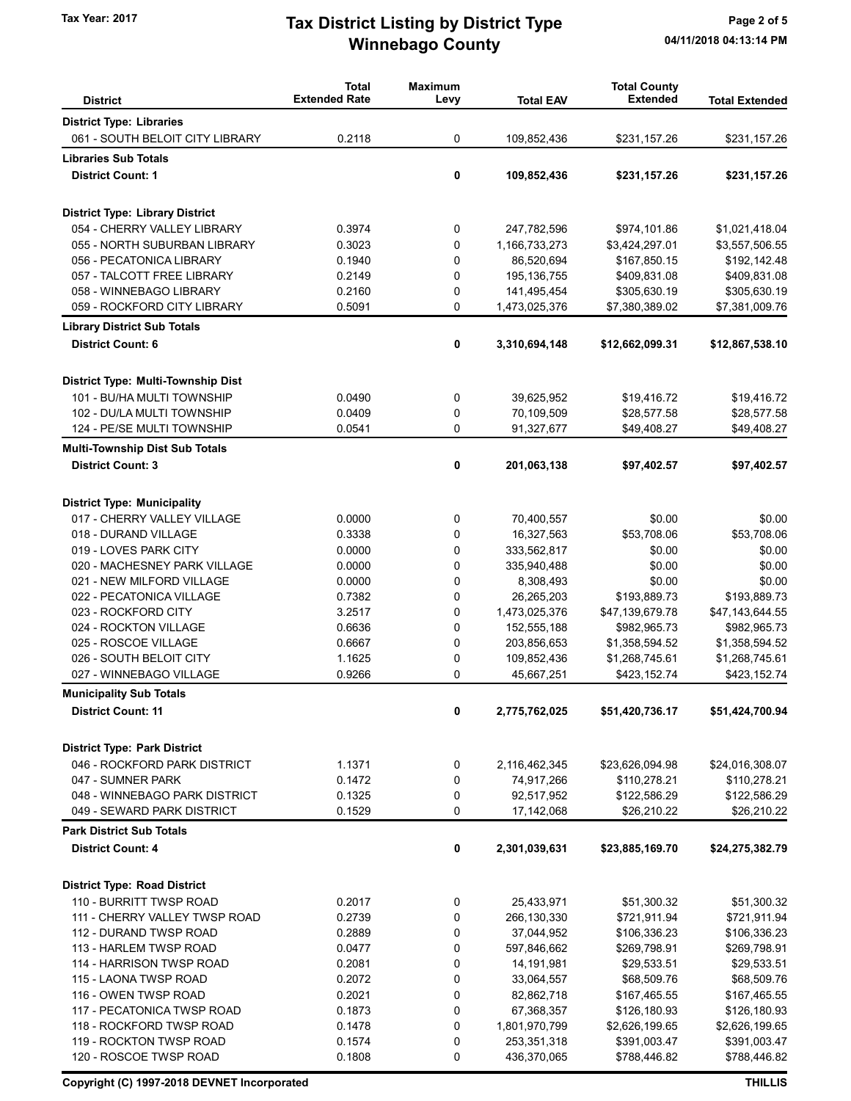# Winnebago County Tax Year: 2017 **Tax District Listing by District Type** Page 2 of 5

|                                                                   | <b>Total</b>         | <b>Maximum</b> |                            | <b>Total County</b>          |                              |
|-------------------------------------------------------------------|----------------------|----------------|----------------------------|------------------------------|------------------------------|
| <b>District</b>                                                   | <b>Extended Rate</b> | Levy           | <b>Total EAV</b>           | <b>Extended</b>              | <b>Total Extended</b>        |
| <b>District Type: Libraries</b>                                   |                      |                |                            |                              |                              |
| 061 - SOUTH BELOIT CITY LIBRARY                                   | 0.2118               | 0              | 109,852,436                | \$231,157.26                 | \$231,157.26                 |
| <b>Libraries Sub Totals</b>                                       |                      |                |                            |                              |                              |
| <b>District Count: 1</b>                                          |                      | 0              | 109,852,436                | \$231,157.26                 | \$231,157.26                 |
|                                                                   |                      |                |                            |                              |                              |
| <b>District Type: Library District</b>                            |                      |                |                            |                              |                              |
| 054 - CHERRY VALLEY LIBRARY                                       | 0.3974               | 0              | 247,782,596                | \$974,101.86                 | \$1,021,418.04               |
| 055 - NORTH SUBURBAN LIBRARY                                      | 0.3023               | 0              | 1,166,733,273              | \$3,424,297.01               | \$3,557,506.55               |
| 056 - PECATONICA LIBRARY                                          | 0.1940               | 0              | 86,520,694                 | \$167,850.15                 | \$192,142.48                 |
| 057 - TALCOTT FREE LIBRARY                                        | 0.2149               | 0              | 195, 136, 755              | \$409,831.08                 | \$409,831.08                 |
| 058 - WINNEBAGO LIBRARY                                           | 0.2160               | 0              | 141,495,454                | \$305,630.19                 | \$305,630.19                 |
| 059 - ROCKFORD CITY LIBRARY                                       | 0.5091               | 0              | 1,473,025,376              | \$7,380,389.02               | \$7,381,009.76               |
| <b>Library District Sub Totals</b>                                |                      |                |                            |                              |                              |
| <b>District Count: 6</b>                                          |                      | 0              | 3,310,694,148              | \$12,662,099.31              | \$12,867,538.10              |
| District Type: Multi-Township Dist                                |                      |                |                            |                              |                              |
| 101 - BU/HA MULTI TOWNSHIP                                        | 0.0490               | 0              | 39,625,952                 | \$19,416.72                  | \$19,416.72                  |
| 102 - DU/LA MULTI TOWNSHIP                                        | 0.0409               | 0              | 70,109,509                 | \$28,577.58                  | \$28,577.58                  |
| 124 - PE/SE MULTI TOWNSHIP                                        | 0.0541               | 0              | 91,327,677                 | \$49,408.27                  | \$49,408.27                  |
|                                                                   |                      |                |                            |                              |                              |
| <b>Multi-Township Dist Sub Totals</b><br><b>District Count: 3</b> |                      | 0              | 201,063,138                | \$97,402.57                  | \$97,402.57                  |
|                                                                   |                      |                |                            |                              |                              |
| <b>District Type: Municipality</b>                                |                      |                |                            |                              |                              |
| 017 - CHERRY VALLEY VILLAGE                                       | 0.0000               | 0              | 70,400,557                 | \$0.00                       | \$0.00                       |
| 018 - DURAND VILLAGE                                              | 0.3338               | 0              | 16,327,563                 | \$53,708.06                  | \$53,708.06                  |
| 019 - LOVES PARK CITY                                             | 0.0000               | 0              | 333,562,817                | \$0.00                       | \$0.00                       |
| 020 - MACHESNEY PARK VILLAGE                                      | 0.0000               | 0              | 335,940,488                | \$0.00                       | \$0.00                       |
| 021 - NEW MILFORD VILLAGE                                         | 0.0000               | 0              | 8,308,493                  | \$0.00                       | \$0.00                       |
| 022 - PECATONICA VILLAGE                                          | 0.7382               | 0              | 26,265,203                 | \$193,889.73                 | \$193,889.73                 |
| 023 - ROCKFORD CITY                                               | 3.2517               | 0              | 1,473,025,376              | \$47,139,679.78              | \$47,143,644.55              |
| 024 - ROCKTON VILLAGE                                             | 0.6636               | 0              | 152,555,188                | \$982,965.73                 | \$982,965.73                 |
| 025 - ROSCOE VILLAGE                                              | 0.6667               | 0              | 203,856,653                | \$1,358,594.52               | \$1,358,594.52               |
| 026 - SOUTH BELOIT CITY                                           | 1.1625               | 0              | 109,852,436                | \$1,268,745.61               | \$1,268,745.61               |
| 027 - WINNEBAGO VILLAGE                                           | 0.9266               | 0              | 45,667,251                 | \$423,152.74                 | \$423,152.74                 |
| <b>Municipality Sub Totals</b>                                    |                      |                |                            |                              |                              |
| <b>District Count: 11</b>                                         |                      | 0              | 2,775,762,025              | \$51,420,736.17              | \$51,424,700.94              |
| <b>District Type: Park District</b>                               |                      |                |                            |                              |                              |
| 046 - ROCKFORD PARK DISTRICT                                      | 1.1371               | 0              | 2,116,462,345              | \$23,626,094.98              | \$24,016,308.07              |
| 047 - SUMNER PARK                                                 | 0.1472               | 0              | 74,917,266                 | \$110,278.21                 | \$110,278.21                 |
| 048 - WINNEBAGO PARK DISTRICT                                     | 0.1325               | 0              | 92,517,952                 | \$122,586.29                 | \$122,586.29                 |
| 049 - SEWARD PARK DISTRICT                                        | 0.1529               | 0              | 17,142,068                 | \$26,210.22                  | \$26,210.22                  |
| <b>Park District Sub Totals</b>                                   |                      |                |                            |                              |                              |
| <b>District Count: 4</b>                                          |                      | 0              | 2,301,039,631              | \$23,885,169.70              | \$24,275,382.79              |
|                                                                   |                      |                |                            |                              |                              |
| <b>District Type: Road District</b>                               |                      |                |                            |                              |                              |
| 110 - BURRITT TWSP ROAD                                           | 0.2017               | 0              | 25,433,971                 | \$51,300.32                  | \$51,300.32                  |
| 111 - CHERRY VALLEY TWSP ROAD                                     | 0.2739               | 0              | 266,130,330                | \$721,911.94                 | \$721,911.94                 |
| 112 - DURAND TWSP ROAD                                            | 0.2889               | 0              | 37,044,952                 | \$106,336.23                 | \$106,336.23                 |
| 113 - HARLEM TWSP ROAD                                            | 0.0477               | 0              | 597,846,662                | \$269,798.91                 | \$269,798.91                 |
| 114 - HARRISON TWSP ROAD                                          | 0.2081               | 0              | 14,191,981                 | \$29,533.51                  | \$29,533.51                  |
| 115 - LAONA TWSP ROAD                                             | 0.2072               | 0              | 33,064,557                 | \$68,509.76                  | \$68,509.76                  |
| 116 - OWEN TWSP ROAD                                              | 0.2021               | 0<br>0         | 82,862,718                 | \$167,465.55                 | \$167,465.55                 |
| 117 - PECATONICA TWSP ROAD                                        | 0.1873               |                | 67,368,357                 | \$126,180.93                 | \$126,180.93                 |
| 118 - ROCKFORD TWSP ROAD<br>119 - ROCKTON TWSP ROAD               | 0.1478<br>0.1574     | 0<br>0         | 1,801,970,799              | \$2,626,199.65               | \$2,626,199.65               |
| 120 - ROSCOE TWSP ROAD                                            | 0.1808               | 0              | 253,351,318<br>436,370,065 | \$391,003.47<br>\$788,446.82 | \$391,003.47<br>\$788,446.82 |
|                                                                   |                      |                |                            |                              |                              |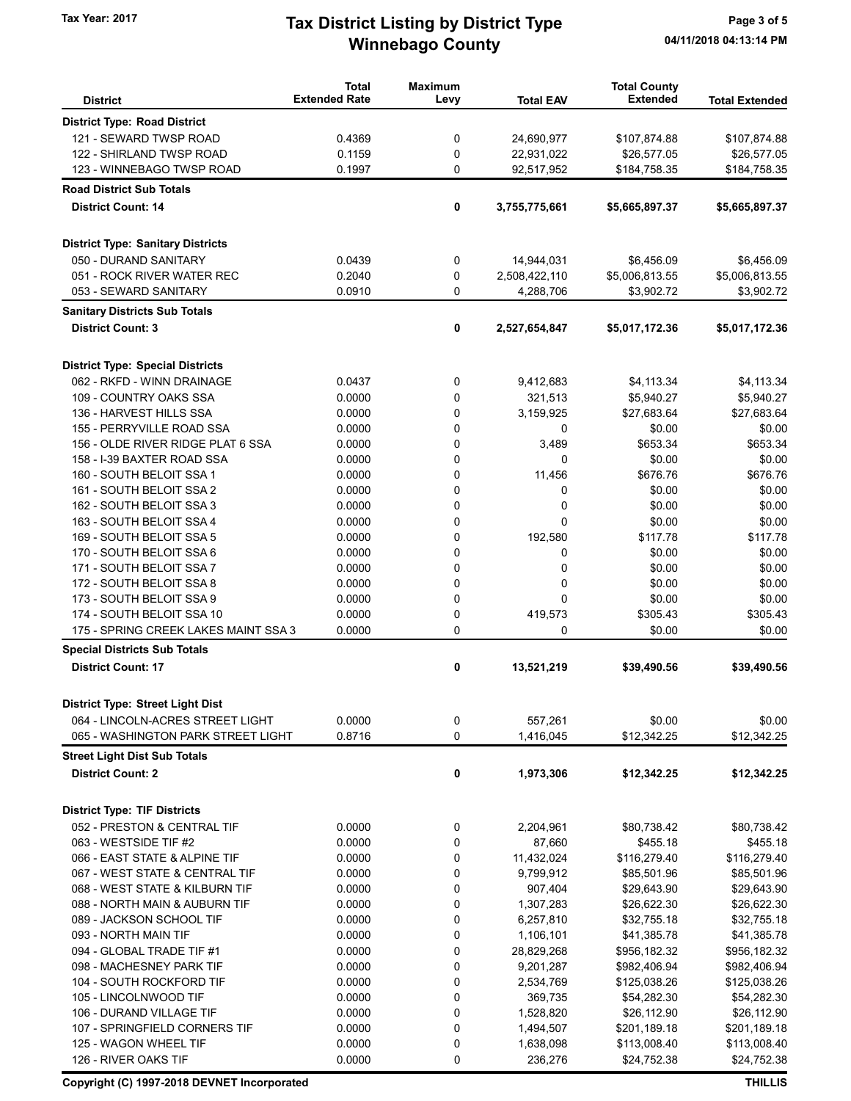# Winnebago County Tax Year: 2017 **Tax District Listing by District Type** Page 3 of 5

|                                                     | <b>Total</b>         | <b>Maximum</b> |                  | <b>Total County</b> |                       |
|-----------------------------------------------------|----------------------|----------------|------------------|---------------------|-----------------------|
| <b>District</b>                                     | <b>Extended Rate</b> | Levy           | <b>Total EAV</b> | <b>Extended</b>     | <b>Total Extended</b> |
| <b>District Type: Road District</b>                 |                      |                |                  |                     |                       |
| 121 - SEWARD TWSP ROAD                              | 0.4369               | 0              | 24,690,977       | \$107,874.88        | \$107,874.88          |
| 122 - SHIRLAND TWSP ROAD                            | 0.1159               | 0              | 22,931,022       | \$26,577.05         | \$26,577.05           |
| 123 - WINNEBAGO TWSP ROAD                           | 0.1997               | 0              | 92,517,952       | \$184,758.35        | \$184,758.35          |
| <b>Road District Sub Totals</b>                     |                      |                |                  |                     |                       |
| <b>District Count: 14</b>                           |                      | 0              | 3,755,775,661    | \$5,665,897.37      | \$5,665,897.37        |
|                                                     |                      |                |                  |                     |                       |
| <b>District Type: Sanitary Districts</b>            |                      |                |                  |                     |                       |
| 050 - DURAND SANITARY                               |                      |                |                  |                     |                       |
|                                                     | 0.0439               | 0              | 14,944,031       | \$6,456.09          | \$6,456.09            |
| 051 - ROCK RIVER WATER REC<br>053 - SEWARD SANITARY | 0.2040<br>0.0910     | 0<br>0         | 2,508,422,110    | \$5,006,813.55      | \$5,006,813.55        |
|                                                     |                      |                | 4,288,706        | \$3,902.72          | \$3,902.72            |
| <b>Sanitary Districts Sub Totals</b>                |                      |                |                  |                     |                       |
| <b>District Count: 3</b>                            |                      | 0              | 2,527,654,847    | \$5,017,172.36      | \$5,017,172.36        |
|                                                     |                      |                |                  |                     |                       |
| <b>District Type: Special Districts</b>             |                      |                |                  |                     |                       |
| 062 - RKFD - WINN DRAINAGE                          | 0.0437               | 0              | 9,412,683        | \$4,113.34          | \$4,113.34            |
| 109 - COUNTRY OAKS SSA                              | 0.0000               | 0              | 321,513          | \$5,940.27          | \$5,940.27            |
| 136 - HARVEST HILLS SSA                             | 0.0000               | 0              | 3,159,925        | \$27,683.64         | \$27,683.64           |
| 155 - PERRYVILLE ROAD SSA                           | 0.0000               | 0              | 0                | \$0.00              | \$0.00                |
| 156 - OLDE RIVER RIDGE PLAT 6 SSA                   | 0.0000               | 0              | 3,489            | \$653.34            | \$653.34              |
| 158 - I-39 BAXTER ROAD SSA                          | 0.0000               | 0              | 0                | \$0.00              | \$0.00                |
| 160 - SOUTH BELOIT SSA 1                            | 0.0000               | 0              | 11,456           | \$676.76            | \$676.76              |
| 161 - SOUTH BELOIT SSA 2                            | 0.0000               | 0              | 0                | \$0.00              | \$0.00                |
| 162 - SOUTH BELOIT SSA 3                            | 0.0000               | 0              | 0                | \$0.00              | \$0.00                |
| 163 - SOUTH BELOIT SSA 4                            | 0.0000               | 0              | 0                | \$0.00              | \$0.00                |
| 169 - SOUTH BELOIT SSA 5                            | 0.0000               | 0              | 192,580          | \$117.78            | \$117.78              |
| 170 - SOUTH BELOIT SSA 6                            | 0.0000               | 0              | 0                | \$0.00              | \$0.00                |
| 171 - SOUTH BELOIT SSA 7                            | 0.0000               | 0              | 0                | \$0.00              | \$0.00                |
| 172 - SOUTH BELOIT SSA 8                            | 0.0000               | 0              | 0                | \$0.00              | \$0.00                |
| 173 - SOUTH BELOIT SSA 9                            | 0.0000               | 0              | 0                | \$0.00              | \$0.00                |
| 174 - SOUTH BELOIT SSA 10                           | 0.0000               | 0              | 419,573          | \$305.43            | \$305.43              |
| 175 - SPRING CREEK LAKES MAINT SSA 3                | 0.0000               | 0              | 0                | \$0.00              | \$0.00                |
| <b>Special Districts Sub Totals</b>                 |                      |                |                  |                     |                       |
| <b>District Count: 17</b>                           |                      | 0              | 13,521,219       | \$39,490.56         | \$39,490.56           |
|                                                     |                      |                |                  |                     |                       |
| <b>District Type: Street Light Dist</b>             |                      |                |                  |                     |                       |
| 064 - LINCOLN-ACRES STREET LIGHT                    | 0.0000               | 0              | 557,261          | \$0.00              | \$0.00                |
| 065 - WASHINGTON PARK STREET LIGHT                  | 0.8716               | 0              | 1,416,045        | \$12,342.25         | \$12,342.25           |
| <b>Street Light Dist Sub Totals</b>                 |                      |                |                  |                     |                       |
| <b>District Count: 2</b>                            |                      | 0              | 1,973,306        | \$12,342.25         | \$12,342.25           |
| <b>District Type: TIF Districts</b>                 |                      |                |                  |                     |                       |
| 052 - PRESTON & CENTRAL TIF                         | 0.0000               | 0              | 2,204,961        | \$80,738.42         | \$80,738.42           |
| 063 - WESTSIDE TIF #2                               | 0.0000               | 0              | 87,660           | \$455.18            | \$455.18              |
| 066 - EAST STATE & ALPINE TIF                       | 0.0000               | 0              | 11,432,024       | \$116,279.40        | \$116,279.40          |
| 067 - WEST STATE & CENTRAL TIF                      | 0.0000               | 0              | 9,799,912        | \$85,501.96         | \$85,501.96           |
| 068 - WEST STATE & KILBURN TIF                      | 0.0000               | 0              | 907,404          | \$29,643.90         | \$29,643.90           |
| 088 - NORTH MAIN & AUBURN TIF                       | 0.0000               | 0              | 1,307,283        | \$26,622.30         | \$26,622.30           |
| 089 - JACKSON SCHOOL TIF                            | 0.0000               | 0              | 6,257,810        | \$32,755.18         | \$32,755.18           |
| 093 - NORTH MAIN TIF                                | 0.0000               | 0              | 1,106,101        | \$41,385.78         | \$41,385.78           |
| 094 - GLOBAL TRADE TIF #1                           | 0.0000               | 0              | 28,829,268       | \$956,182.32        | \$956,182.32          |
| 098 - MACHESNEY PARK TIF                            | 0.0000               | 0              | 9,201,287        | \$982,406.94        | \$982,406.94          |
| 104 - SOUTH ROCKFORD TIF                            | 0.0000               | 0              | 2,534,769        | \$125,038.26        | \$125,038.26          |
| 105 - LINCOLNWOOD TIF                               | 0.0000               | 0              | 369,735          | \$54,282.30         | \$54,282.30           |
| 106 - DURAND VILLAGE TIF                            | 0.0000               | 0              | 1,528,820        | \$26,112.90         | \$26,112.90           |
| 107 - SPRINGFIELD CORNERS TIF                       | 0.0000               | 0              | 1,494,507        | \$201,189.18        | \$201,189.18          |
| 125 - WAGON WHEEL TIF                               | 0.0000               | 0              | 1,638,098        | \$113,008.40        | \$113,008.40          |
| 126 - RIVER OAKS TIF                                | 0.0000               | 0              | 236,276          | \$24,752.38         | \$24,752.38           |
|                                                     |                      |                |                  |                     |                       |

Copyright (C) 1997-2018 DEVNET Incorporated THILLIS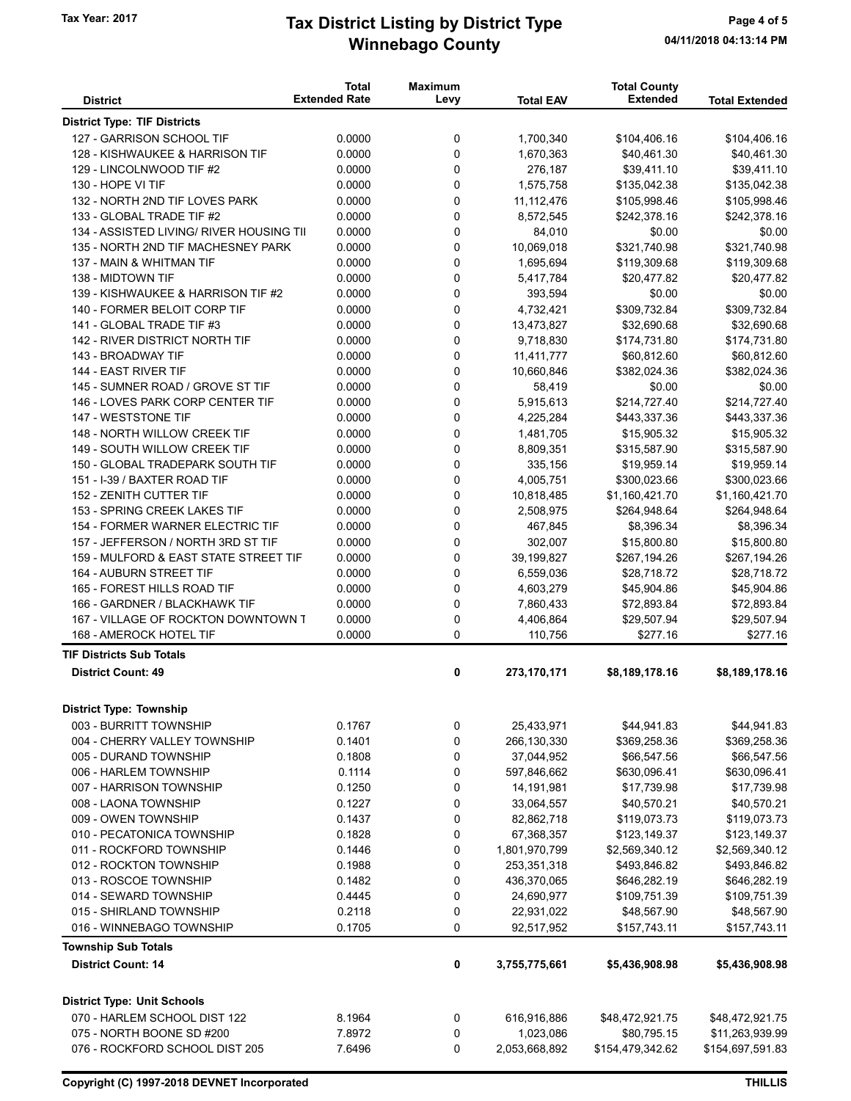# Winnebago County Tax Year: 2017 **Tax District Listing by District Type** Page 4 of 5

|                                                              | <b>Total</b>         | <b>Maximum</b> |                         | <b>Total County</b>            |                             |
|--------------------------------------------------------------|----------------------|----------------|-------------------------|--------------------------------|-----------------------------|
| <b>District</b>                                              | <b>Extended Rate</b> | Levy           | <b>Total EAV</b>        | <b>Extended</b>                | <b>Total Extended</b>       |
| <b>District Type: TIF Districts</b>                          |                      |                |                         |                                |                             |
| 127 - GARRISON SCHOOL TIF                                    | 0.0000               | 0              | 1,700,340               | \$104,406.16                   | \$104,406.16                |
| 128 - KISHWAUKEE & HARRISON TIF                              | 0.0000               | 0              | 1,670,363               | \$40,461.30                    | \$40,461.30                 |
| 129 - LINCOLNWOOD TIF #2                                     | 0.0000               | 0              | 276,187                 | \$39,411.10                    | \$39,411.10                 |
| 130 - HOPE VI TIF                                            | 0.0000               | 0              | 1,575,758               | \$135,042.38                   | \$135,042.38                |
| 132 - NORTH 2ND TIF LOVES PARK                               | 0.0000               | 0              | 11,112,476              | \$105,998.46                   | \$105,998.46                |
| 133 - GLOBAL TRADE TIF #2                                    | 0.0000               | $\mathbf 0$    | 8,572,545               | \$242,378.16                   | \$242,378.16                |
| 134 - ASSISTED LIVING/ RIVER HOUSING TII                     | 0.0000               | 0              | 84,010                  | \$0.00                         | \$0.00                      |
| 135 - NORTH 2ND TIF MACHESNEY PARK                           | 0.0000               | 0              | 10,069,018              | \$321,740.98                   | \$321,740.98                |
| 137 - MAIN & WHITMAN TIF                                     | 0.0000               | 0              | 1,695,694               | \$119,309.68                   | \$119,309.68                |
| 138 - MIDTOWN TIF                                            | 0.0000               | 0              | 5,417,784               | \$20,477.82                    | \$20,477.82                 |
| 139 - KISHWAUKEE & HARRISON TIF #2                           | 0.0000               | 0              | 393,594                 | \$0.00                         | \$0.00                      |
| 140 - FORMER BELOIT CORP TIF                                 | 0.0000               | $\mathbf 0$    | 4,732,421               | \$309,732.84                   | \$309,732.84                |
| 141 - GLOBAL TRADE TIF #3                                    | 0.0000               | 0              | 13,473,827              | \$32,690.68                    | \$32,690.68                 |
| 142 - RIVER DISTRICT NORTH TIF                               | 0.0000               | $\mathbf 0$    | 9,718,830               | \$174,731.80                   | \$174,731.80                |
| 143 - BROADWAY TIF                                           | 0.0000               | 0              | 11,411,777              | \$60,812.60                    | \$60,812.60                 |
| 144 - EAST RIVER TIF                                         | 0.0000               | 0              | 10,660,846              | \$382,024.36                   | \$382,024.36                |
| 145 - SUMNER ROAD / GROVE ST TIF                             | 0.0000               | 0              | 58,419                  | \$0.00                         | \$0.00                      |
| 146 - LOVES PARK CORP CENTER TIF                             | 0.0000               | 0              | 5,915,613               | \$214,727.40                   | \$214,727.40                |
| 147 - WESTSTONE TIF                                          | 0.0000               | 0              | 4,225,284               | \$443,337.36                   | \$443,337.36                |
| 148 - NORTH WILLOW CREEK TIF<br>149 - SOUTH WILLOW CREEK TIF | 0.0000<br>0.0000     | $\mathbf 0$    | 1,481,705<br>8,809,351  | \$15,905.32<br>\$315,587.90    | \$15,905.32                 |
| 150 - GLOBAL TRADEPARK SOUTH TIF                             | 0.0000               | 0              |                         |                                | \$315,587.90                |
| 151 - I-39 / BAXTER ROAD TIF                                 | 0.0000               | 0<br>0         | 335,156                 | \$19,959.14                    | \$19,959.14<br>\$300,023.66 |
| 152 - ZENITH CUTTER TIF                                      | 0.0000               | 0              | 4,005,751<br>10,818,485 | \$300,023.66<br>\$1,160,421.70 | \$1,160,421.70              |
| 153 - SPRING CREEK LAKES TIF                                 | 0.0000               | 0              | 2,508,975               | \$264,948.64                   | \$264,948.64                |
| 154 - FORMER WARNER ELECTRIC TIF                             | 0.0000               | 0              | 467,845                 | \$8,396.34                     | \$8,396.34                  |
| 157 - JEFFERSON / NORTH 3RD ST TIF                           | 0.0000               | 0              | 302,007                 | \$15,800.80                    | \$15,800.80                 |
| 159 - MULFORD & EAST STATE STREET TIF                        | 0.0000               | $\mathbf 0$    | 39,199,827              | \$267,194.26                   | \$267,194.26                |
| 164 - AUBURN STREET TIF                                      | 0.0000               | 0              | 6,559,036               | \$28,718.72                    | \$28,718.72                 |
| 165 - FOREST HILLS ROAD TIF                                  | 0.0000               | 0              | 4,603,279               | \$45,904.86                    | \$45,904.86                 |
| 166 - GARDNER / BLACKHAWK TIF                                | 0.0000               | 0              | 7,860,433               | \$72,893.84                    | \$72,893.84                 |
| 167 - VILLAGE OF ROCKTON DOWNTOWN T                          | 0.0000               | 0              | 4,406,864               | \$29,507.94                    | \$29,507.94                 |
| 168 - AMEROCK HOTEL TIF                                      | 0.0000               | 0              | 110,756                 | \$277.16                       | \$277.16                    |
| <b>TIF Districts Sub Totals</b>                              |                      |                |                         |                                |                             |
| <b>District Count: 49</b>                                    |                      | 0              | 273,170,171             | \$8,189,178.16                 | \$8,189,178.16              |
|                                                              |                      |                |                         |                                |                             |
| <b>District Type: Township</b>                               |                      |                |                         |                                |                             |
| 003 - BURRITT TOWNSHIP                                       | 0.1767               | 0              | 25,433,971              | \$44,941.83                    | \$44,941.83                 |
| 004 - CHERRY VALLEY TOWNSHIP                                 | 0.1401               | 0              | 266,130,330             | \$369,258.36                   | \$369,258.36                |
| 005 - DURAND TOWNSHIP                                        | 0.1808               | 0              | 37,044,952              | \$66,547.56                    | \$66,547.56                 |
| 006 - HARLEM TOWNSHIP                                        | 0.1114               | 0              | 597,846,662             | \$630,096.41                   | \$630,096.41                |
| 007 - HARRISON TOWNSHIP                                      | 0.1250               | 0              | 14,191,981              | \$17,739.98                    | \$17,739.98                 |
| 008 - LAONA TOWNSHIP                                         | 0.1227               | 0              | 33,064,557              | \$40,570.21                    | \$40,570.21                 |
| 009 - OWEN TOWNSHIP                                          | 0.1437               | 0              | 82,862,718              | \$119,073.73                   | \$119,073.73                |
| 010 - PECATONICA TOWNSHIP                                    | 0.1828               | 0              | 67,368,357              | \$123,149.37                   | \$123,149.37                |
| 011 - ROCKFORD TOWNSHIP                                      | 0.1446               | 0              | 1,801,970,799           | \$2,569,340.12                 | \$2,569,340.12              |
| 012 - ROCKTON TOWNSHIP                                       | 0.1988               | 0              | 253,351,318             | \$493,846.82                   | \$493,846.82                |
| 013 - ROSCOE TOWNSHIP                                        | 0.1482               | 0              | 436,370,065             | \$646,282.19                   | \$646,282.19                |
| 014 - SEWARD TOWNSHIP                                        | 0.4445               | 0              | 24,690,977              | \$109,751.39                   | \$109,751.39                |
| 015 - SHIRLAND TOWNSHIP                                      | 0.2118               | 0              | 22,931,022              | \$48,567.90                    | \$48,567.90                 |
| 016 - WINNEBAGO TOWNSHIP                                     | 0.1705               | 0              | 92,517,952              | \$157,743.11                   | \$157,743.11                |
| <b>Township Sub Totals</b>                                   |                      |                |                         |                                |                             |
| <b>District Count: 14</b>                                    |                      | 0              | 3,755,775,661           | \$5,436,908.98                 | \$5,436,908.98              |
| <b>District Type: Unit Schools</b>                           |                      |                |                         |                                |                             |
| 070 - HARLEM SCHOOL DIST 122                                 | 8.1964               | 0              | 616,916,886             | \$48,472,921.75                | \$48,472,921.75             |
| 075 - NORTH BOONE SD #200                                    | 7.8972               | 0              | 1,023,086               | \$80,795.15                    | \$11,263,939.99             |
| 076 - ROCKFORD SCHOOL DIST 205                               | 7.6496               | 0              | 2,053,668,892           | \$154,479,342.62               | \$154,697,591.83            |